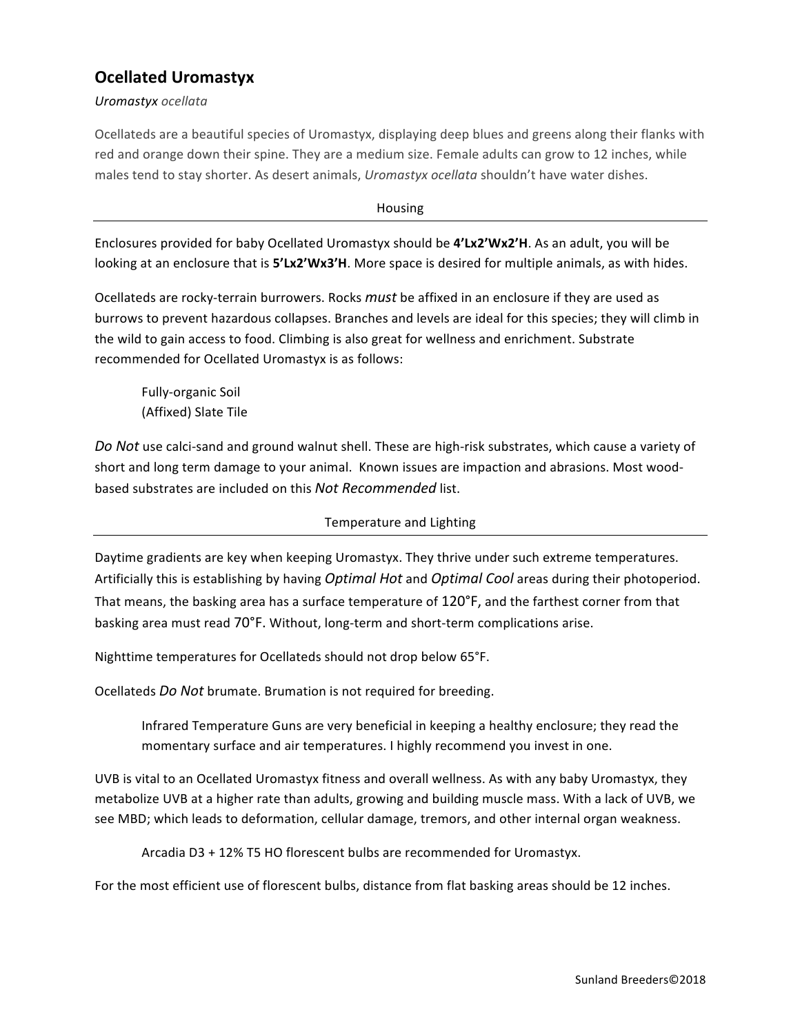## **Ocellated Uromastyx**

*Uromastyx ocellata*

Ocellateds are a beautiful species of Uromastyx, displaying deep blues and greens along their flanks with red and orange down their spine. They are a medium size. Female adults can grow to 12 inches, while males tend to stay shorter. As desert animals, *Uromastyx ocellata* shouldn't have water dishes.

Housing

Enclosures provided for baby Ocellated Uromastyx should be **4'Lx2'Wx2'H**. As an adult, you will be looking at an enclosure that is 5'Lx2'Wx3'H. More space is desired for multiple animals, as with hides.

Ocellateds are rocky-terrain burrowers. Rocks *must* be affixed in an enclosure if they are used as burrows to prevent hazardous collapses. Branches and levels are ideal for this species; they will climb in the wild to gain access to food. Climbing is also great for wellness and enrichment. Substrate recommended for Ocellated Uromastyx is as follows:

Fully-organic Soil (Affixed) Slate Tile

Do Not use calci-sand and ground walnut shell. These are high-risk substrates, which cause a variety of short and long term damage to your animal. Known issues are impaction and abrasions. Most woodbased substrates are included on this *Not Recommended* list.

## Temperature and Lighting

Daytime gradients are key when keeping Uromastyx. They thrive under such extreme temperatures. Artificially this is establishing by having *Optimal Hot* and *Optimal Cool* areas during their photoperiod. That means, the basking area has a surface temperature of 120°F, and the farthest corner from that basking area must read 70°F. Without, long-term and short-term complications arise.

Nighttime temperatures for Ocellateds should not drop below 65°F.

Ocellateds *Do Not* brumate. Brumation is not required for breeding.

Infrared Temperature Guns are very beneficial in keeping a healthy enclosure; they read the momentary surface and air temperatures. I highly recommend you invest in one.

UVB is vital to an Ocellated Uromastyx fitness and overall wellness. As with any baby Uromastyx, they metabolize UVB at a higher rate than adults, growing and building muscle mass. With a lack of UVB, we see MBD; which leads to deformation, cellular damage, tremors, and other internal organ weakness.

Arcadia D3 + 12% T5 HO florescent bulbs are recommended for Uromastyx.

For the most efficient use of florescent bulbs, distance from flat basking areas should be 12 inches.